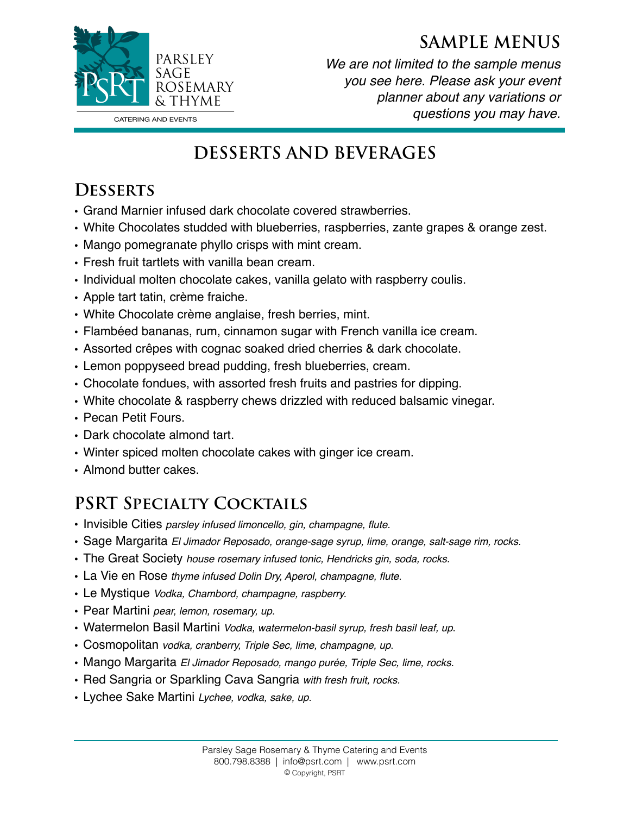#### **SAMPLE MENUS**



*We are not limited to the sample menus you see here. Please ask your event planner about any variations or questions you may have.* 

# **DESSERTS AND BEVERAGES**

### **Desserts**

- Grand Marnier infused dark chocolate covered strawberries.
- White Chocolates studded with blueberries, raspberries, zante grapes & orange zest.
- Mango pomegranate phyllo crisps with mint cream.
- Fresh fruit tartlets with vanilla bean cream.
- Individual molten chocolate cakes, vanilla gelato with raspberry coulis.
- Apple tart tatin, crème fraiche.
- White Chocolate crème anglaise, fresh berries, mint.
- Flambéed bananas, rum, cinnamon sugar with French vanilla ice cream.
- Assorted crêpes with cognac soaked dried cherries & dark chocolate.
- Lemon poppyseed bread pudding, fresh blueberries, cream.
- Chocolate fondues, with assorted fresh fruits and pastries for dipping.
- White chocolate & raspberry chews drizzled with reduced balsamic vinegar.
- Pecan Petit Fours.
- Dark chocolate almond tart.
- Winter spiced molten chocolate cakes with ginger ice cream.
- Almond butter cakes.

# **PSRT Specialty Cocktails**

- Invisible Cities *parsley infused limoncello, gin, champagne, flute.*
- Sage Margarita *El Jimador Reposado, orange-sage syrup, lime, orange, salt-sage rim, rocks.*
- The Great Society *house rosemary infused tonic, Hendricks gin, soda, rocks.*
- La Vie en Rose *thyme infused Dolin Dry, Aperol, champagne, flute.*
- Le Mystique *Vodka, Chambord, champagne, raspberry.*
- Pear Martini *pear, lemon, rosemary, up.*
- Watermelon Basil Martini *Vodka, watermelon-basil syrup, fresh basil leaf, up*.
- Cosmopolitan *vodka, cranberry, Triple Sec, lime, champagne, up*.
- Mango Margarita *El Jimador Reposado, mango purée, Triple Sec, lime, rocks.*
- Red Sangria or Sparkling Cava Sangria *with fresh fruit, rocks.*
- Lychee Sake Martini *Lychee, vodka, sake, up.*